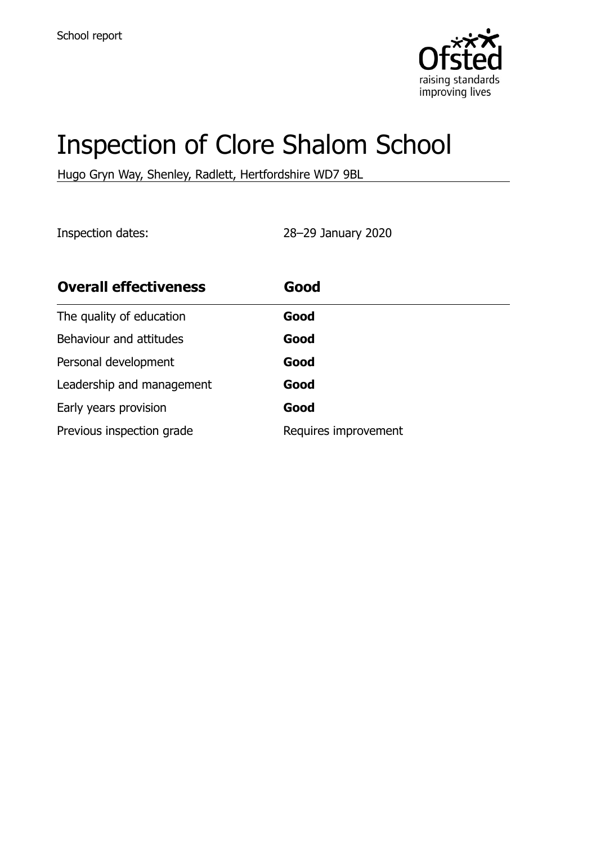

# Inspection of Clore Shalom School

Hugo Gryn Way, Shenley, Radlett, Hertfordshire WD7 9BL

Inspection dates: 28–29 January 2020

| <b>Overall effectiveness</b> | Good                 |
|------------------------------|----------------------|
| The quality of education     | Good                 |
| Behaviour and attitudes      | Good                 |
| Personal development         | Good                 |
| Leadership and management    | Good                 |
| Early years provision        | Good                 |
| Previous inspection grade    | Requires improvement |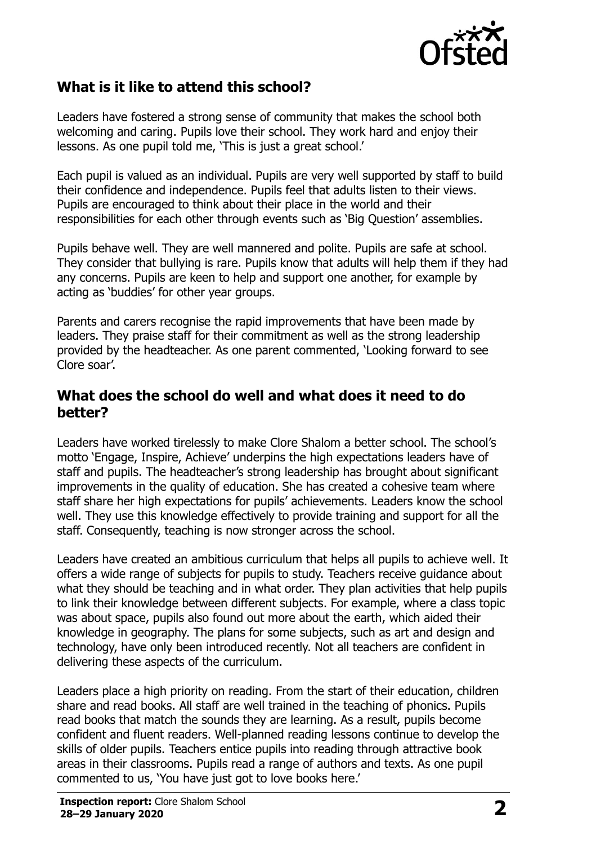

#### **What is it like to attend this school?**

Leaders have fostered a strong sense of community that makes the school both welcoming and caring. Pupils love their school. They work hard and enjoy their lessons. As one pupil told me, 'This is just a great school.'

Each pupil is valued as an individual. Pupils are very well supported by staff to build their confidence and independence. Pupils feel that adults listen to their views. Pupils are encouraged to think about their place in the world and their responsibilities for each other through events such as 'Big Question' assemblies.

Pupils behave well. They are well mannered and polite. Pupils are safe at school. They consider that bullying is rare. Pupils know that adults will help them if they had any concerns. Pupils are keen to help and support one another, for example by acting as 'buddies' for other year groups.

Parents and carers recognise the rapid improvements that have been made by leaders. They praise staff for their commitment as well as the strong leadership provided by the headteacher. As one parent commented, 'Looking forward to see Clore soar'.

#### **What does the school do well and what does it need to do better?**

Leaders have worked tirelessly to make Clore Shalom a better school. The school's motto 'Engage, Inspire, Achieve' underpins the high expectations leaders have of staff and pupils. The headteacher's strong leadership has brought about significant improvements in the quality of education. She has created a cohesive team where staff share her high expectations for pupils' achievements. Leaders know the school well. They use this knowledge effectively to provide training and support for all the staff. Consequently, teaching is now stronger across the school.

Leaders have created an ambitious curriculum that helps all pupils to achieve well. It offers a wide range of subjects for pupils to study. Teachers receive guidance about what they should be teaching and in what order. They plan activities that help pupils to link their knowledge between different subjects. For example, where a class topic was about space, pupils also found out more about the earth, which aided their knowledge in geography. The plans for some subjects, such as art and design and technology, have only been introduced recently. Not all teachers are confident in delivering these aspects of the curriculum.

Leaders place a high priority on reading. From the start of their education, children share and read books. All staff are well trained in the teaching of phonics. Pupils read books that match the sounds they are learning. As a result, pupils become confident and fluent readers. Well-planned reading lessons continue to develop the skills of older pupils. Teachers entice pupils into reading through attractive book areas in their classrooms. Pupils read a range of authors and texts. As one pupil commented to us, 'You have just got to love books here.'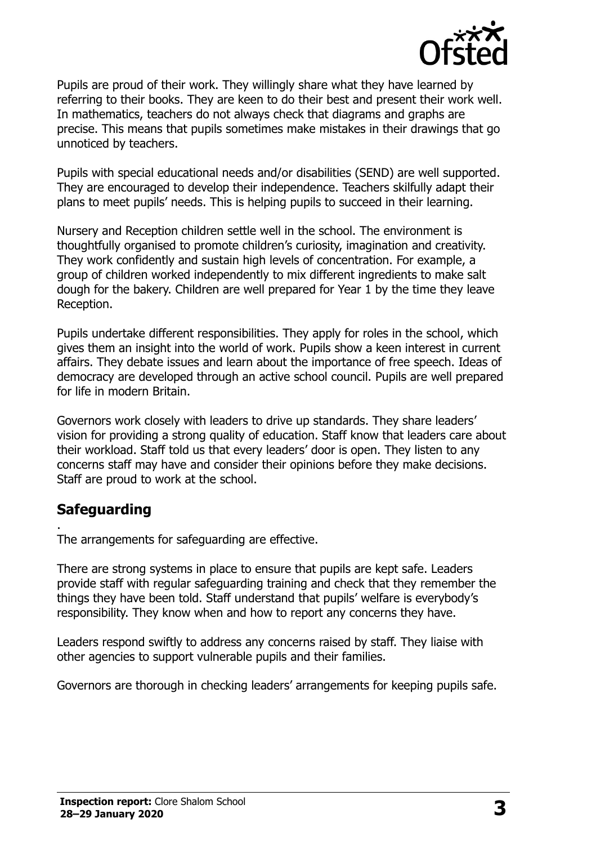

Pupils are proud of their work. They willingly share what they have learned by referring to their books. They are keen to do their best and present their work well. In mathematics, teachers do not always check that diagrams and graphs are precise. This means that pupils sometimes make mistakes in their drawings that go unnoticed by teachers.

Pupils with special educational needs and/or disabilities (SEND) are well supported. They are encouraged to develop their independence. Teachers skilfully adapt their plans to meet pupils' needs. This is helping pupils to succeed in their learning.

Nursery and Reception children settle well in the school. The environment is thoughtfully organised to promote children's curiosity, imagination and creativity. They work confidently and sustain high levels of concentration. For example, a group of children worked independently to mix different ingredients to make salt dough for the bakery. Children are well prepared for Year 1 by the time they leave Reception.

Pupils undertake different responsibilities. They apply for roles in the school, which gives them an insight into the world of work. Pupils show a keen interest in current affairs. They debate issues and learn about the importance of free speech. Ideas of democracy are developed through an active school council. Pupils are well prepared for life in modern Britain.

Governors work closely with leaders to drive up standards. They share leaders' vision for providing a strong quality of education. Staff know that leaders care about their workload. Staff told us that every leaders' door is open. They listen to any concerns staff may have and consider their opinions before they make decisions. Staff are proud to work at the school.

#### **Safeguarding**

.

The arrangements for safeguarding are effective.

There are strong systems in place to ensure that pupils are kept safe. Leaders provide staff with regular safeguarding training and check that they remember the things they have been told. Staff understand that pupils' welfare is everybody's responsibility. They know when and how to report any concerns they have.

Leaders respond swiftly to address any concerns raised by staff. They liaise with other agencies to support vulnerable pupils and their families.

Governors are thorough in checking leaders' arrangements for keeping pupils safe.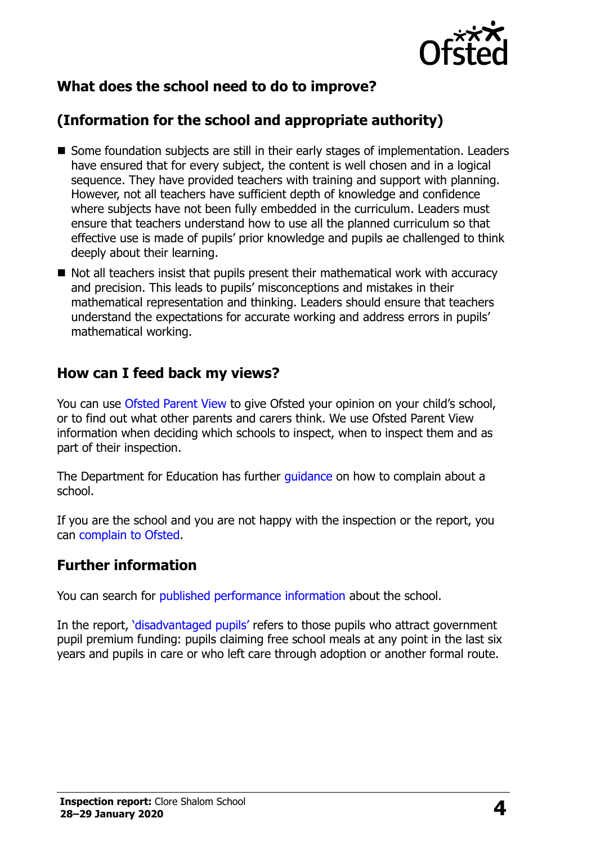

# **What does the school need to do to improve?**

# **(Information for the school and appropriate authority)**

- Some foundation subjects are still in their early stages of implementation. Leaders have ensured that for every subject, the content is well chosen and in a logical sequence. They have provided teachers with training and support with planning. However, not all teachers have sufficient depth of knowledge and confidence where subjects have not been fully embedded in the curriculum. Leaders must ensure that teachers understand how to use all the planned curriculum so that effective use is made of pupils' prior knowledge and pupils ae challenged to think deeply about their learning.
- $\blacksquare$  Not all teachers insist that pupils present their mathematical work with accuracy and precision. This leads to pupils' misconceptions and mistakes in their mathematical representation and thinking. Leaders should ensure that teachers understand the expectations for accurate working and address errors in pupils' mathematical working.

#### **How can I feed back my views?**

You can use [Ofsted Parent View](http://parentview.ofsted.gov.uk/) to give Ofsted your opinion on your child's school, or to find out what other parents and carers think. We use Ofsted Parent View information when deciding which schools to inspect, when to inspect them and as part of their inspection.

The Department for Education has further quidance on how to complain about a school.

If you are the school and you are not happy with the inspection or the report, you can [complain to Ofsted.](http://www.gov.uk/complain-ofsted-report)

#### **Further information**

You can search for [published performance information](http://www.compare-school-performance.service.gov.uk/) about the school.

In the report, '[disadvantaged pupils](http://www.gov.uk/guidance/pupil-premium-information-for-schools-and-alternative-provision-settings)' refers to those pupils who attract government pupil premium funding: pupils claiming free school meals at any point in the last six years and pupils in care or who left care through adoption or another formal route.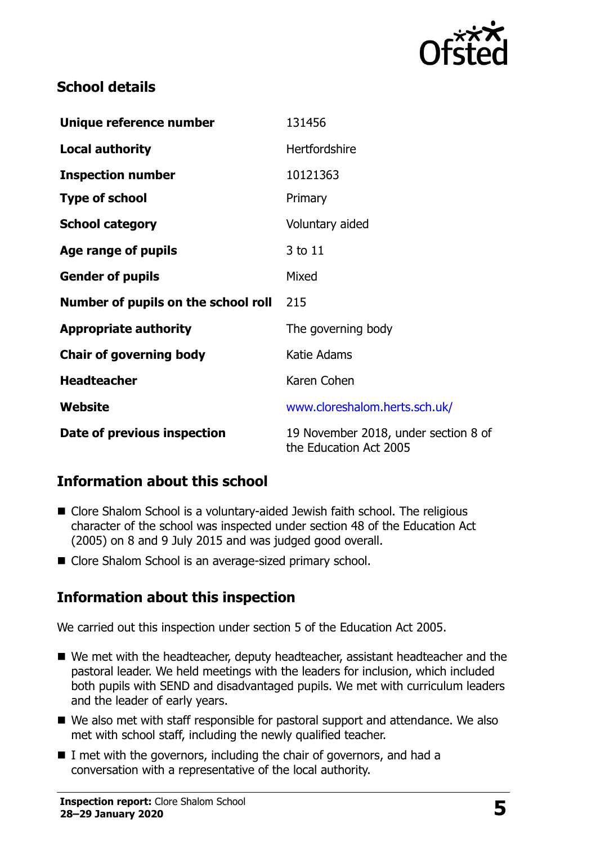

## **School details**

| Unique reference number             | 131456                                                         |
|-------------------------------------|----------------------------------------------------------------|
| <b>Local authority</b>              | <b>Hertfordshire</b>                                           |
| <b>Inspection number</b>            | 10121363                                                       |
| <b>Type of school</b>               | Primary                                                        |
| <b>School category</b>              | Voluntary aided                                                |
| Age range of pupils                 | 3 to 11                                                        |
| <b>Gender of pupils</b>             | Mixed                                                          |
| Number of pupils on the school roll | 215                                                            |
| <b>Appropriate authority</b>        | The governing body                                             |
| <b>Chair of governing body</b>      | Katie Adams                                                    |
| <b>Headteacher</b>                  | Karen Cohen                                                    |
| Website                             | www.cloreshalom.herts.sch.uk/                                  |
| Date of previous inspection         | 19 November 2018, under section 8 of<br>the Education Act 2005 |

## **Information about this school**

- Clore Shalom School is a voluntary-aided Jewish faith school. The religious character of the school was inspected under section 48 of the Education Act (2005) on 8 and 9 July 2015 and was judged good overall.
- Clore Shalom School is an average-sized primary school.

## **Information about this inspection**

We carried out this inspection under section 5 of the Education Act 2005.

- We met with the headteacher, deputy headteacher, assistant headteacher and the pastoral leader. We held meetings with the leaders for inclusion, which included both pupils with SEND and disadvantaged pupils. We met with curriculum leaders and the leader of early years.
- We also met with staff responsible for pastoral support and attendance. We also met with school staff, including the newly qualified teacher.
- I met with the governors, including the chair of governors, and had a conversation with a representative of the local authority.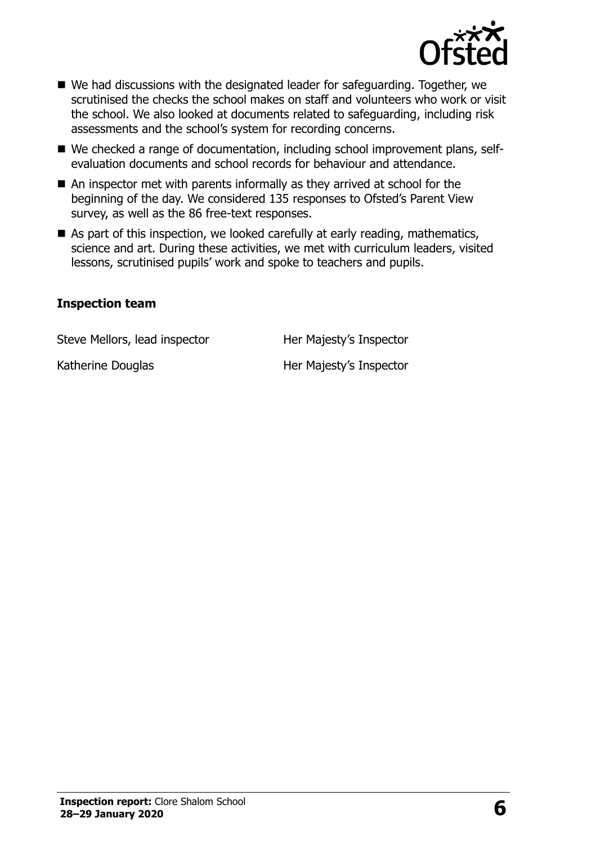

- We had discussions with the designated leader for safeguarding. Together, we scrutinised the checks the school makes on staff and volunteers who work or visit the school. We also looked at documents related to safeguarding, including risk assessments and the school's system for recording concerns.
- We checked a range of documentation, including school improvement plans, selfevaluation documents and school records for behaviour and attendance.
- An inspector met with parents informally as they arrived at school for the beginning of the day. We considered 135 responses to Ofsted's Parent View survey, as well as the 86 free-text responses.
- As part of this inspection, we looked carefully at early reading, mathematics, science and art. During these activities, we met with curriculum leaders, visited lessons, scrutinised pupils' work and spoke to teachers and pupils.

#### **Inspection team**

Steve Mellors, lead inspector **Her Majesty's Inspector** 

Katherine Douglas Her Majesty's Inspector